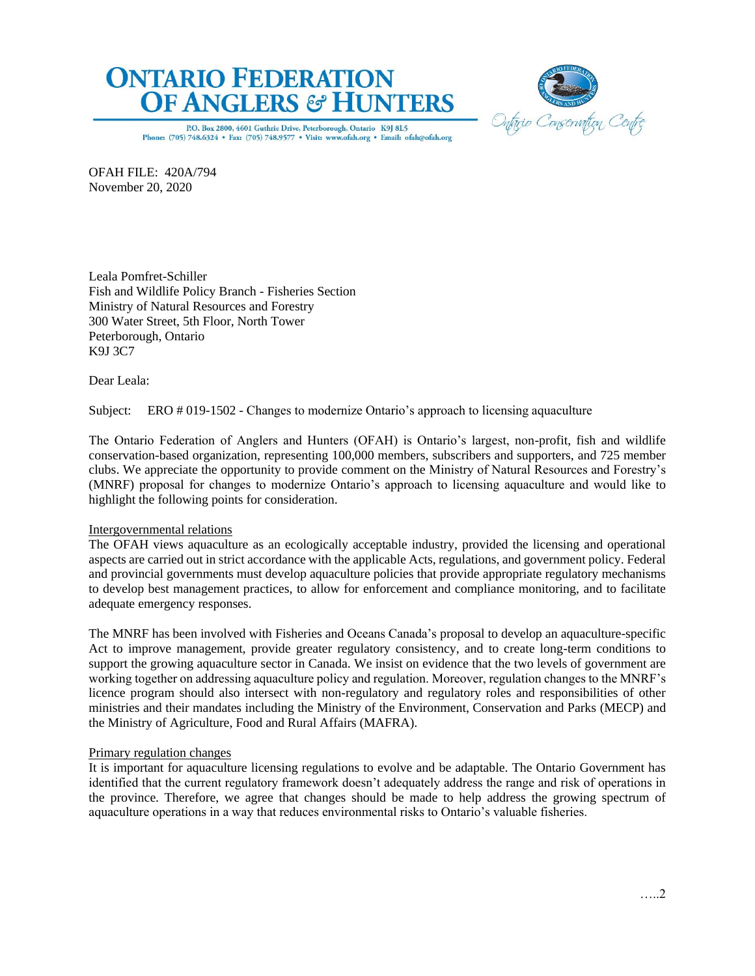



P.O. Box 2800, 4601 Guthrie Drive, Peterborough, Ontario K9J 8L5 Phone: (705) 748.6324 . Fax: (705) 748.9577 . Visit: www.ofah.org . Email: ofah@ofah.org

OFAH FILE: 420A/794 November 20, 2020

Leala Pomfret-Schiller Fish and Wildlife Policy Branch - Fisheries Section Ministry of Natural Resources and Forestry 300 Water Street, 5th Floor, North Tower Peterborough, Ontario K9J 3C7

Dear Leala:

Subject: ERO # 019-1502 - Changes to modernize Ontario's approach to licensing aquaculture

The Ontario Federation of Anglers and Hunters (OFAH) is Ontario's largest, non-profit, fish and wildlife conservation-based organization, representing 100,000 members, subscribers and supporters, and 725 member clubs. We appreciate the opportunity to provide comment on the Ministry of Natural Resources and Forestry's (MNRF) proposal for changes to modernize Ontario's approach to licensing aquaculture and would like to highlight the following points for consideration.

### Intergovernmental relations

The OFAH views aquaculture as an ecologically acceptable industry, provided the licensing and operational aspects are carried out in strict accordance with the applicable Acts, regulations, and government policy. Federal and provincial governments must develop aquaculture policies that provide appropriate regulatory mechanisms to develop best management practices, to allow for enforcement and compliance monitoring, and to facilitate adequate emergency responses.

The MNRF has been involved with Fisheries and Oceans Canada's proposal to develop an aquaculture-specific Act to improve management, provide greater regulatory consistency, and to create long-term conditions to support the growing aquaculture sector in Canada. We insist on evidence that the two levels of government are working together on addressing aquaculture policy and regulation. Moreover, regulation changes to the MNRF's licence program should also intersect with non-regulatory and regulatory roles and responsibilities of other ministries and their mandates including the Ministry of the Environment, Conservation and Parks (MECP) and the Ministry of Agriculture, Food and Rural Affairs (MAFRA).

### Primary regulation changes

It is important for aquaculture licensing regulations to evolve and be adaptable. The Ontario Government has identified that the current regulatory framework doesn't adequately address the range and risk of operations in the province. Therefore, we agree that changes should be made to help address the growing spectrum of aquaculture operations in a way that reduces environmental risks to Ontario's valuable fisheries.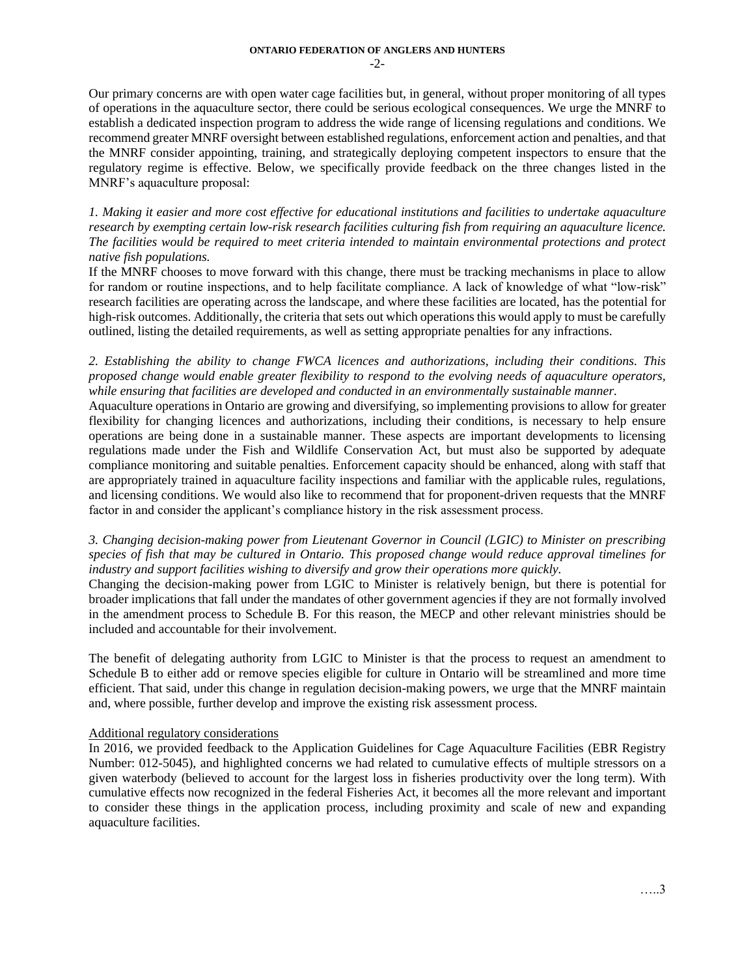Our primary concerns are with open water cage facilities but, in general, without proper monitoring of all types of operations in the aquaculture sector, there could be serious ecological consequences. We urge the MNRF to establish a dedicated inspection program to address the wide range of licensing regulations and conditions. We recommend greater MNRF oversight between established regulations, enforcement action and penalties, and that the MNRF consider appointing, training, and strategically deploying competent inspectors to ensure that the regulatory regime is effective. Below, we specifically provide feedback on the three changes listed in the MNRF's aquaculture proposal:

*1. Making it easier and more cost effective for educational institutions and facilities to undertake aquaculture research by exempting certain low-risk research facilities culturing fish from requiring an aquaculture licence. The facilities would be required to meet criteria intended to maintain environmental protections and protect native fish populations.*

If the MNRF chooses to move forward with this change, there must be tracking mechanisms in place to allow for random or routine inspections, and to help facilitate compliance. A lack of knowledge of what "low-risk" research facilities are operating across the landscape, and where these facilities are located, has the potential for high-risk outcomes. Additionally, the criteria that sets out which operations this would apply to must be carefully outlined, listing the detailed requirements, as well as setting appropriate penalties for any infractions.

# *2. Establishing the ability to change FWCA licences and authorizations, including their conditions. This proposed change would enable greater flexibility to respond to the evolving needs of aquaculture operators, while ensuring that facilities are developed and conducted in an environmentally sustainable manner.*

Aquaculture operations in Ontario are growing and diversifying, so implementing provisions to allow for greater flexibility for changing licences and authorizations, including their conditions, is necessary to help ensure operations are being done in a sustainable manner. These aspects are important developments to licensing regulations made under the Fish and Wildlife Conservation Act, but must also be supported by adequate compliance monitoring and suitable penalties. Enforcement capacity should be enhanced, along with staff that are appropriately trained in aquaculture facility inspections and familiar with the applicable rules, regulations, and licensing conditions. We would also like to recommend that for proponent-driven requests that the MNRF factor in and consider the applicant's compliance history in the risk assessment process.

## *3. Changing decision-making power from Lieutenant Governor in Council (LGIC) to Minister on prescribing species of fish that may be cultured in Ontario. This proposed change would reduce approval timelines for industry and support facilities wishing to diversify and grow their operations more quickly.*

Changing the decision-making power from LGIC to Minister is relatively benign, but there is potential for broader implications that fall under the mandates of other government agencies if they are not formally involved in the amendment process to Schedule B. For this reason, the MECP and other relevant ministries should be included and accountable for their involvement.

The benefit of delegating authority from LGIC to Minister is that the process to request an amendment to Schedule B to either add or remove species eligible for culture in Ontario will be streamlined and more time efficient. That said, under this change in regulation decision-making powers, we urge that the MNRF maintain and, where possible, further develop and improve the existing risk assessment process.

# Additional regulatory considerations

In 2016, we provided feedback to the Application Guidelines for Cage Aquaculture Facilities (EBR Registry Number: 012-5045), and highlighted concerns we had related to cumulative effects of multiple stressors on a given waterbody (believed to account for the largest loss in fisheries productivity over the long term). With cumulative effects now recognized in the federal Fisheries Act, it becomes all the more relevant and important to consider these things in the application process, including proximity and scale of new and expanding aquaculture facilities.